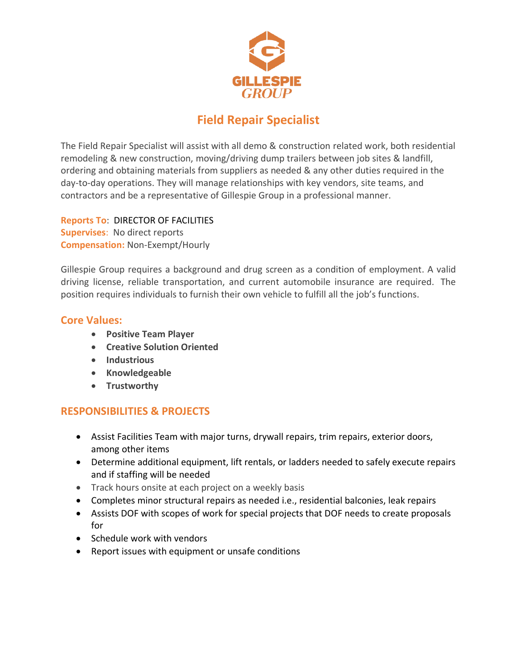

# **Field Repair Specialist**

The Field Repair Specialist will assist with all demo & construction related work, both residential remodeling & new construction, moving/driving dump trailers between job sites & landfill, ordering and obtaining materials from suppliers as needed & any other duties required in the day-to-day operations. They will manage relationships with key vendors, site teams, and contractors and be a representative of Gillespie Group in a professional manner.

**Reports To**: DIRECTOR OF FACILITIES **Supervises**: No direct reports **Compensation:** Non-Exempt/Hourly

Gillespie Group requires a background and drug screen as a condition of employment. A valid driving license, reliable transportation, and current automobile insurance are required. The position requires individuals to furnish their own vehicle to fulfill all the job's functions.

### **Core Values:**

- **Positive Team Player**
- **Creative Solution Oriented**
- **Industrious**
- **Knowledgeable**
- **Trustworthy**

# **RESPONSIBILITIES & PROJECTS**

- Assist Facilities Team with major turns, drywall repairs, trim repairs, exterior doors, among other items
- Determine additional equipment, lift rentals, or ladders needed to safely execute repairs and if staffing will be needed
- Track hours onsite at each project on a weekly basis
- Completes minor structural repairs as needed i.e., residential balconies, leak repairs
- Assists DOF with scopes of work for special projects that DOF needs to create proposals for
- Schedule work with vendors
- Report issues with equipment or unsafe conditions